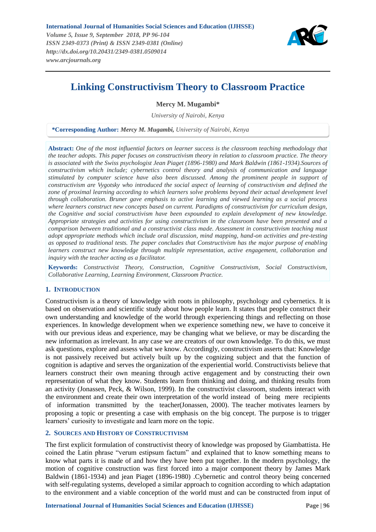

# **Linking Constructivism Theory to Classroom Practice**

**Mercy M. Mugambi\***

*University of Nairobi, Kenya*

**\*Corresponding Author:** *Mercy M. Mugambi, University of Nairobi, Kenya*

**Abstract:** *One of the most influential factors on learner success is the classroom teaching methodology that the teacher adopts. This paper focuses on constructivism theory in relation to classroom practice. The theory is associated with the Swiss psychologist Jean Piaget (1896-1980) and Mark Baldwin (1861-1934).Sources of constructivism which include; cybernetics control theory and analysis of communication and language stimulated by computer science have also been discussed. Among the prominent people in support of constructivism are Vygotsky who introduced the social aspect of learning of constructivism and defined the zone of proximal learning according to which learners solve problems beyond their actual development level through collaboration. Bruner gave emphasis to active learning and viewed learning as a social process where learners construct new concepts based on current. Paradigms of constructivism for curriculum design, the Cognitive and social constructivism have been expounded to explain development of new knowledge. Appropriate strategies and activities for using constructivism in the classroom have been presented and a comparison between traditional and a constructivist class made. Assessment in constructivism teaching must adopt appropriate methods which include oral discussion, mind mapping, hand-on activities and pre-testing as opposed to traditional tests. The paper concludes that Constructivism has the major purpose of enabling learners construct new knowledge through multiple representation, active engagement, collaboration and inquiry with the teacher acting as a facilitator.*

**Keywords:** *Constructivist Theory, Construction, Cognitive Constructivism, Social Constructivism, Collaborative Learning, Learning Environment, Classroom Practice.*

# **1. INTRODUCTION**

Constructivism is a theory of knowledge with roots in philosophy, psychology and cybernetics. It is based on observation and scientific study about how people learn. It states that people construct their own understanding and knowledge of the world through experiencing things and reflecting on those experiences. In knowledge development when we experience something new, we have to conceive it with our previous ideas and experience, may be changing what we believe, or may be discarding the new information as irrelevant. In any case we are creators of our own knowledge. To do this, we must ask questions, explore and assess what we know. Accordingly, constructivism asserts that: Knowledge is not passively received but actively built up by the cognizing subject and that the function of cognition is adaptive and serves the organization of the experiential world. Constructivists believe that learners construct their own meaning through active engagement and by constructing their own representation of what they know. Students learn from thinking and doing, and thinking results from an activity (Jonassen, Peck, & Wilson, 1999). In the constructivist classroom, students interact with the environment and create their own interpretation of the world instead of being mere recipients of information transmitted by the teacher(Jonassen, 2000). The teacher motivates learners by proposing a topic or presenting a case with emphasis on the big concept. The purpose is to trigger learners' curiosity to investigate and learn more on the topic.

# **2. SOURCES AND HISTORY OF CONSTRUCTIVISM**

The first explicit formulation of constructivist theory of knowledge was proposed by Giambattista. He coined the Latin phrase "verum estipsum factum" and explained that to know something means to know what parts it is made of and how they have been put together. In the modern psychology, the motion of cognitive construction was first forced into a major component theory by James Mark Baldwin (1861-1934) and jean Piaget (1896-1980) .Cybernetic and control theory being concerned with self-regulating systems, developed a similar approach to cognition according to which adaptation to the environment and a viable conception of the world must and can be constructed from input of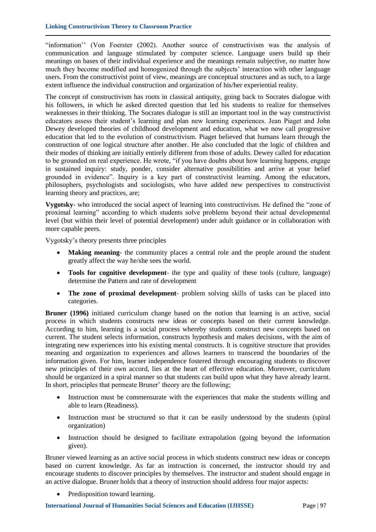"information" (Von Foerster (2002). Another source of constructivism was the analysis of communication and language stimulated by computer science. Language users build up their meanings on bases of their individual experience and the meanings remain subjective, no matter how much they become modified and homogenized through the subjects" interaction with other language users. From the constructivist point of view, meanings are conceptual structures and as such, to a large extent influence the individual construction and organization of his/her experiential reality.

The concept of constructivism has roots in classical antiquity, going back to Socrates dialogue with his followers, in which he asked directed question that led his students to realize for themselves weaknesses in their thinking. The Socrates dialogue is still an important tool in the way constructivist educators assess their student"s learning and plan new learning experiences. Jean Piaget and John Dewey developed theories of childhood development and education, what we now call progressive education that led to the evolution of constructivism. Piaget believed that humans learn through the construction of one logical structure after another. He also concluded that the logic of children and their modes of thinking are initially entirely different from those of adults. Dewey called for education to be grounded on real experience. He wrote, "if you have doubts about how learning happens, engage in sustained inquiry: study, ponder, consider alternative possibilities and arrive at your belief grounded in evidence". Inquiry is a key part of constructivist learning. Among the educators, philosophers, psychologists and sociologists, who have added new perspectives to constructivist learning theory and practices, are;

**Vygotsky**- who introduced the social aspect of learning into constructivism. He defined the "zone of proximal learning" according to which students solve problems beyond their actual developmental level (but within their level of potential development) under adult guidance or in collaboration with more capable peers.

Vygotsky"s theory presents three principles

- **Making meaning** the community places a central role and the people around the student greatly affect the way he/she sees the world.
- **Tools for cognitive development** the type and quality of these tools (culture, language) determine the Pattern and rate of development
- **The zone of proximal development** problem solving skills of tasks can be placed into categories.

**Bruner (1996)** initiated curriculum change based on the notion that learning is an active, social process in which students constructs new ideas or concepts based on their current knowledge. According to him, learning is a social process whereby students construct new concepts based on current. The student selects information, constructs hypothesis and makes decisions, with the aim of integrating new experiences into his existing mental constructs. It is cognitive structure that provides meaning and organization to experiences and allows learners to transcend the boundaries of the information given. For him, learner independence fostered through encouraging students to discover new principles of their own accord, lies at the heart of effective education. Moreover, curriculum should be organized in a spiral manner so that students can build upon what they have already learnt. In short, principles that permeate Bruner' theory are the following;

- Instruction must be commensurate with the experiences that make the students willing and able to learn (Readiness).
- Instruction must be structured so that it can be easily understood by the students (spiral organization)
- Instruction should be designed to facilitate extrapolation (going beyond the information given).

Bruner viewed learning as an active social process in which students construct new ideas or concepts based on current knowledge. As far as instruction is concerned, the instructor should try and encourage students to discover principles by themselves. The instructor and student should engage in an active dialogue. Bruner holds that a theory of instruction should address four major aspects:

Predisposition toward learning.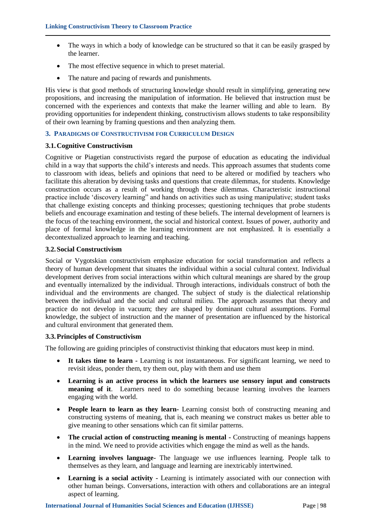- The ways in which a body of knowledge can be structured so that it can be easily grasped by the learner.
- The most effective sequence in which to preset material.
- The nature and pacing of rewards and punishments.

His view is that good methods of structuring knowledge should result in simplifying, generating new propositions, and increasing the manipulation of information. He believed that instruction must be concerned with the experiences and contexts that make the learner willing and able to learn. By providing opportunities for independent thinking, constructivism allows students to take responsibility of their own learning by framing questions and then analyzing them.

# **3. PARADIGMS OF CONSTRUCTIVISM FOR CURRICULUM DESIGN**

# **3.1.Cognitive Constructivism**

Cognitive or Piagetian constructivists regard the purpose of education as educating the individual child in a way that supports the child"s interests and needs. This approach assumes that students come to classroom with ideas, beliefs and opinions that need to be altered or modified by teachers who facilitate this alteration by devising tasks and questions that create dilemmas, for students. Knowledge construction occurs as a result of working through these dilemmas. Characteristic instructional practice include "discovery learning" and hands on activities such as using manipulative; student tasks that challenge existing concepts and thinking processes; questioning techniques that probe students beliefs and encourage examination and testing of these beliefs. The internal development of learners is the focus of the teaching environment, the social and historical context. Issues of power, authority and place of formal knowledge in the learning environment are not emphasized. It is essentially a decontextualized approach to learning and teaching.

# **3.2.Social Constructivism**

Social or Vygotskian constructivism emphasize education for social transformation and reflects a theory of human development that situates the individual within a social cultural context. Individual development derives from social interactions within which cultural meanings are shared by the group and eventually internalized by the individual. Through interactions, individuals construct of both the individual and the environments are changed. The subject of study is the dialectical relationship between the individual and the social and cultural milieu. The approach assumes that theory and practice do not develop in vacuum; they are shaped by dominant cultural assumptions. Formal knowledge, the subject of instruction and the manner of presentation are influenced by the historical and cultural environment that generated them.

# **3.3.Principles of Constructivism**

The following are guiding principles of constructivist thinking that educators must keep in mind.

- **It takes time to learn -** Learning is not instantaneous. For significant learning, we need to revisit ideas, ponder them, try them out, play with them and use them
- **Learning is an active process in which the learners use sensory input and constructs meaning of it**. Learners need to do something because learning involves the learners engaging with the world.
- **People learn to learn as they learn-** Learning consist both of constructing meaning and constructing systems of meaning, that is, each meaning we construct makes us better able to give meaning to other sensations which can fit similar patterns.
- **The crucial action of constructing meaning is mental -** Constructing of meanings happens in the mind. We need to provide activities which engage the mind as well as the hands.
- **Learning involves language-** The language we use influences learning. People talk to themselves as they learn, and language and learning are inextricably intertwined.
- **Learning is a social activity -** Learning is intimately associated with our connection with other human beings. Conversations, interaction with others and collaborations are an integral aspect of learning.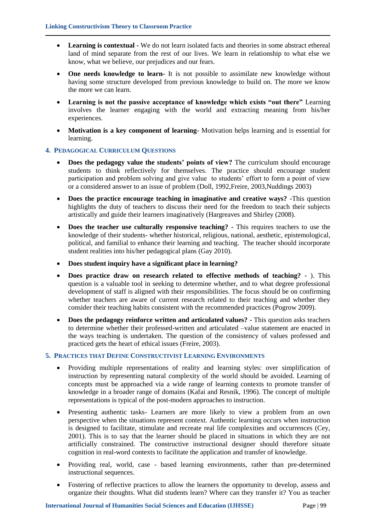- **Learning is contextual -** We do not learn isolated facts and theories in some abstract ethereal land of mind separate from the rest of our lives. We learn in relationship to what else we know, what we believe, our prejudices and our fears.
- **One needs knowledge to learn-** It is not possible to assimilate new knowledge without having some structure developed from previous knowledge to build on. The more we know the more we can learn.
- **Learning is not the passive acceptance of knowledge which exists "out there"** Learning involves the learner engaging with the world and extracting meaning from his/her experiences.
- **Motivation is a key component of learning-** Motivation helps learning and is essential for learning.

# **4. PEDAGOGICAL CURRICULUM QUESTIONS**

- **Does the pedagogy value the students' points of view?** The curriculum should encourage students to think reflectively for themselves. The practice should encourage student participation and problem solving and give value to students" effort to form a point of view or a considered answer to an issue of problem (Doll, 1992, Freire, 2003, Nuddings 2003)
- **Does the practice encourage teaching in imaginative and creative ways? -**This question highlights the duty of teachers to discuss their need for the freedom to teach their subjects artistically and guide their learners imaginatively (Hargreaves and Shirley (2008).
- **Does the teacher use culturally responsive teaching? -** This requires teachers to use the knowledge of their students- whether historical, religious, national, aesthetic, epistemological, political, and familial to enhance their learning and teaching. The teacher should incorporate student realities into his/her pedagogical plans (Gay 2010).
- **Does student inquiry have a significant place in learning?**
- **Does practice draw on research related to effective methods of teaching? -** ). This question is a valuable tool in seeking to determine whether, and to what degree professional development of staff is aligned with their responsibilities. The focus should be on confirming whether teachers are aware of current research related to their teaching and whether they consider their teaching habits consistent with the recommended practices (Pogrow 2009).
- **Does the pedagogy reinforce written and articulated values? -** This question asks teachers to determine whether their professed-written and articulated –value statement are enacted in the ways teaching is undertaken. The question of the consistency of values professed and practiced gets the heart of ethical issues (Freire, 2003).

# **5. PRACTICES THAT DEFINE CONSTRUCTIVIST LEARNING ENVIRONMENTS**

- Providing multiple representations of reality and learning styles: over simplification of instruction by representing natural complexity of the world should be avoided. Learning of concepts must be approached via a wide range of learning contexts to promote transfer of knowledge in a broader range of domains (Kafai and Resnik, 1996). The concept of multiple representations is typical of the post-modern approaches to instruction.
- Presenting authentic tasks- Learners are more likely to view a problem from an own perspective when the situations represent context. Authentic learning occurs when instruction is designed to facilitate, stimulate and recreate real life complexities and occurrences (Cey, 2001). This is to say that the learner should be placed in situations in which they are not artificially constrained. The constructive instructional designer should therefore situate cognition in real-word contexts to facilitate the application and transfer of knowledge.
- Providing real, world, case based learning environments, rather than pre-determined instructional sequences.
- Fostering of reflective practices to allow the learners the opportunity to develop, assess and organize their thoughts. What did students learn? Where can they transfer it? You as teacher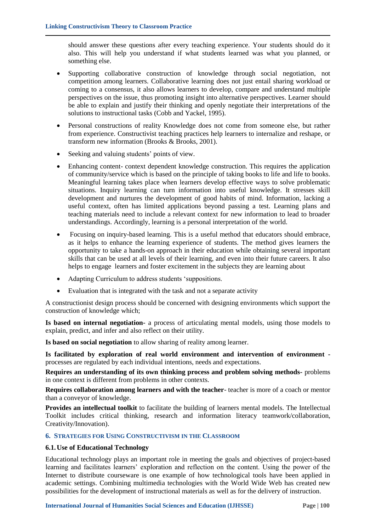should answer these questions after every teaching experience. Your students should do it also. This will help you understand if what students learned was what you planned, or something else.

- Supporting collaborative construction of knowledge through social negotiation, not competition among learners. Collaborative learning does not just entail sharing workload or coming to a consensus, it also allows learners to develop, compare and understand multiple perspectives on the issue, thus promoting insight into alternative perspectives. Learner should be able to explain and justify their thinking and openly negotiate their interpretations of the solutions to instructional tasks (Cobb and Yackel, 1995).
- Personal constructions of reality Knowledge does not come from someone else, but rather from experience. Constructivist teaching practices help learners to internalize and reshape, or transform new information (Brooks & Brooks, 2001).
- Seeking and valuing students' points of view.
- Enhancing content- context dependent knowledge construction. This requires the application of community/service which is based on the principle of taking books to life and life to books. Meaningful learning takes place when learners develop effective ways to solve problematic situations. Inquiry learning can turn information into useful knowledge. It stresses skill development and nurtures the development of good habits of mind. Information, lacking a useful context, often has limited applications beyond passing a test. Learning plans and teaching materials need to include a relevant context for new information to lead to broader understandings. Accordingly, learning is a personal interpretation of the world.
- Focusing on inquiry-based learning. This is a useful method that educators should embrace, as it helps to enhance the learning experience of students. The method gives learners the opportunity to take a hands-on approach in their education while obtaining several important skills that can be used at all levels of their learning, and even into their future careers. It also helps to engage learners and foster excitement in the subjects they are learning about
- Adapting Curriculum to address students 'suppositions.
- Evaluation that is integrated with the task and not a separate activity

A constructionist design process should be concerned with designing environments which support the construction of knowledge which;

**Is based on internal negotiation-** a process of articulating mental models, using those models to explain, predict, and infer and also reflect on their utility.

**Is based on social negotiation** to allow sharing of reality among learner.

**Is facilitated by exploration of real world environment and intervention of environment**  processes are regulated by each individual intentions, needs and expectations.

**Requires an understanding of its own thinking process and problem solving methods-** problems in one context is different from problems in other contexts.

**Requires collaboration among learners and with the teacher**- teacher is more of a coach or mentor than a conveyor of knowledge.

**Provides an intellectual toolkit** to facilitate the building of learners mental models. The Intellectual Toolkit includes critical thinking, research and information literacy teamwork/collaboration, Creativity/Innovation).

# **6. STRATEGIES FOR USING CONSTRUCTIVISM IN THE CLASSROOM**

# **6.1.Use of Educational Technology**

Educational technology plays an important role in meeting the goals and objectives of project-based learning and facilitates learners" exploration and reflection on the content. Using the power of the Internet to distribute courseware is one example of how technological tools have been applied in academic settings. Combining multimedia technologies with the World Wide Web has created new possibilities for the development of instructional materials as well as for the delivery of instruction.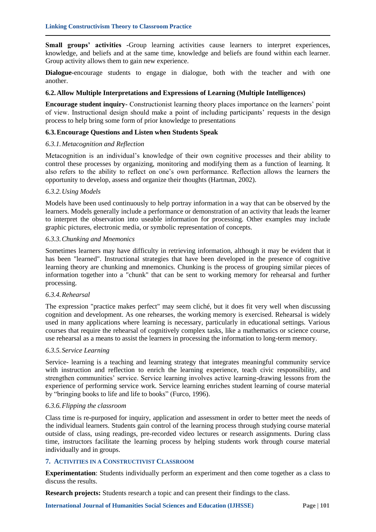**Small groups' activities -**Group learning activities cause learners to interpret experiences, knowledge, and beliefs and at the same time, knowledge and beliefs are found within each learner. Group activity allows them to gain new experience.

**Dialogue-**encourage students to engage in dialogue, both with the teacher and with one another.

# **6.2.Allow Multiple Interpretations and Expressions of Learning (Multiple Intelligences)**

**Encourage student inquiry-** Constructionist learning theory places importance on the learners" point of view. Instructional design should make a point of including participants" requests in the design process to help bring some form of prior knowledge to presentations

#### **6.3.Encourage Questions and Listen when Students Speak**

#### *6.3.1.Metacognition and Reflection*

Metacognition is an individual"s knowledge of their own cognitive processes and their ability to control these processes by organizing, monitoring and modifying them as a function of learning. It also refers to the ability to reflect on one"s own performance. Reflection allows the learners the opportunity to develop, assess and organize their thoughts (Hartman, 2002).

# *6.3.2.Using Models*

Models have been used continuously to help portray information in a way that can be observed by the learners. Models generally include a performance or demonstration of an activity that leads the learner to interpret the observation into useable information for processing. Other examples may include graphic pictures, electronic media, or symbolic representation of concepts.

#### *6.3.3.Chunking and Mnemonics*

Sometimes learners may have difficulty in retrieving information, although it may be evident that it has been "learned". Instructional strategies that have been developed in the presence of cognitive learning theory are chunking and mnemonics. Chunking is the process of grouping similar pieces of information together into a "chunk" that can be sent to working memory for rehearsal and further processing.

# *6.3.4.Rehearsal*

The expression "practice makes perfect" may seem cliché, but it does fit very well when discussing cognition and development. As one rehearses, the working memory is exercised. Rehearsal is widely used in many applications where learning is necessary, particularly in educational settings. Various courses that require the rehearsal of cognitively complex tasks, like a mathematics or science course, use rehearsal as a means to assist the learners in processing the information to long-term memory.

#### *6.3.5.Service Learning*

Service- learning is a teaching and learning strategy that integrates meaningful community service with instruction and reflection to enrich the learning experience, teach civic responsibility, and strengthen communities" service. Service learning involves active learning-drawing lessons from the experience of performing service work. Service learning enriches student learning of course material by "bringing books to life and life to books" (Furco, 1996).

#### *6.3.6.Flipping the classroom*

Class time is re-purposed for inquiry, application and assessment in order to better meet the needs of the individual learners. Students gain control of the learning process through studying course material outside of class, using readings, pre-recorded video lectures or research assignments. During class time, instructors facilitate the learning process by helping students work through course material individually and in groups.

# **7. ACTIVITIES IN A CONSTRUCTIVIST CLASSROOM**

**Experimentation**: Students individually perform an experiment and then come together as a class to discuss the results.

**Research projects:** Students research a topic and can present their findings to the class.

**International Journal of Humanities Social Sciences and Education (IJHSSE) Page | 101**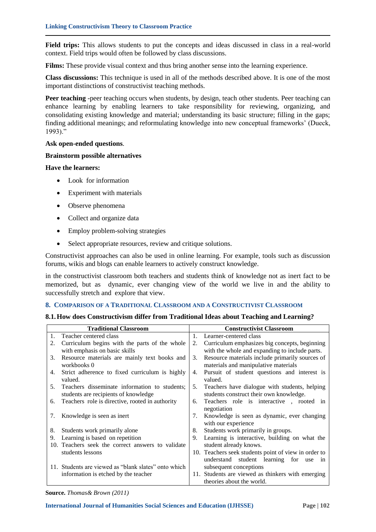**Field trips:** This allows students to put the concepts and ideas discussed in class in a real-world context. Field trips would often be followed by class discussions.

**Films:** These provide visual context and thus bring another sense into the learning experience.

**Class discussions:** This technique is used in all of the methods described above. It is one of the most important distinctions of constructivist teaching methods.

Peer teaching -peer teaching occurs when students, by design, teach other students. Peer teaching can enhance learning by enabling learners to take responsibility for reviewing, organizing, and consolidating existing knowledge and material; understanding its basic structure; filling in the gaps; finding additional meanings; and reformulating knowledge into new conceptual frameworks" (Dueck, 1993)."

# **Ask open-ended questions**.

# **Brainstorm possible alternatives**

**Have the learners:**

- Look for information
- Experiment with materials
- Observe phenomena
- Collect and organize data
- Employ problem-solving strategies
- Select appropriate resources, review and critique solutions.

Constructivist approaches can also be used in online learning. For example, tools such as discussion forums, wikis and blogs can enable learners to actively construct knowledge.

in the constructivist classroom both teachers and students think of knowledge not as inert fact to be memorized, but as dynamic, ever changing view of the world we live in and the ability to successfully stretch and explore that view.

# **8. COMPARISON OF A TRADITIONAL CLASSROOM AND A CONSTRUCTIVIST CLASSROOM**

# **8.1.How does Constructivism differ from Traditional Ideas about Teaching and Learning?**

| <b>Traditional Classroom</b> |                                                           | <b>Constructivist Classroom</b> |                                                                    |
|------------------------------|-----------------------------------------------------------|---------------------------------|--------------------------------------------------------------------|
| $\mathbf{1}$ .               | Teacher centered class                                    | $1_{-}$                         | Learner-centered class                                             |
| 2.                           | Curriculum begins with the parts of the whole             | 2.                              | Curriculum emphasizes big concepts, beginning                      |
|                              | with emphasis on basic skills                             |                                 | with the whole and expanding to include parts.                     |
| 3.                           | Resource materials are mainly text books and              | 3.                              | Resource materials include primarily sources of                    |
|                              | workbooks 0                                               |                                 | materials and manipulative materials                               |
| 4.                           | Strict adherence to fixed curriculum is highly<br>valued. | 4.                              | Pursuit of student questions and interest is<br>valued.            |
| 5.                           | Teachers disseminate information to students;             | 5.                              | Teachers have dialogue with students, helping                      |
|                              | students are recipients of knowledge                      |                                 | students construct their own knowledge.                            |
| 6.                           | Teachers role is directive, rooted in authority           | 6.                              | Teachers role is interactive , rooted in<br>negotiation            |
| 7.                           | Knowledge is seen as inert                                | 7.                              | Knowledge is seen as dynamic, ever changing<br>with our experience |
| 8.                           | Students work primarily alone                             | 8.                              | Students work primarily in groups.                                 |
| 9.                           | Learning is based on repetition                           | 9.                              | Learning is interactive, building on what the                      |
|                              | 10. Teachers seek the correct answers to validate         |                                 | student already knows.                                             |
|                              | students lessons                                          |                                 | 10. Teachers seek students point of view in order to               |
|                              |                                                           |                                 | understand student learning for<br>use<br>1n                       |
|                              | 11. Students are viewed as "blank slates" onto which      |                                 | subsequent conceptions                                             |
|                              | information is etched by the teacher                      |                                 | 11. Students are viewed as thinkers with emerging                  |
|                              |                                                           |                                 | theories about the world.                                          |

**Source.** *Thomas& Brown (2011)*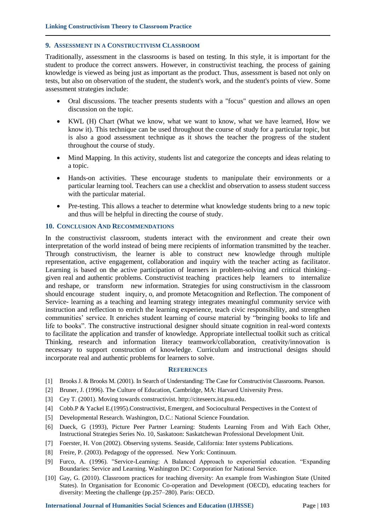# **9. ASSESSMENT IN A CONSTRUCTIVISM CLASSROOM**

Traditionally, assessment in the classrooms is based on testing. In this style, it is important for the student to produce the correct answers. However, in constructivist teaching, the process of gaining knowledge is viewed as being just as important as the product. Thus, assessment is based not only on tests, but also on observation of the student, the student's work, and the student's points of view. Some assessment strategies include:

- Oral discussions. The teacher presents students with a "focus" question and allows an open discussion on the topic.
- KWL (H) Chart (What we know, what we want to know, what we have learned, How we know it). This technique can be used throughout the course of study for a particular topic, but is also a good assessment technique as it shows the teacher the progress of the student throughout the course of study.
- Mind Mapping. In this activity, students list and categorize the concepts and ideas relating to a topic.
- Hands-on activities. These encourage students to manipulate their environments or a particular learning tool. Teachers can use a checklist and observation to assess student success with the particular material.
- Pre-testing. This allows a teacher to determine what knowledge students bring to a new topic and thus will be helpful in directing the course of study.

# **10. CONCLUSION AND RECOMMENDATIONS**

In the constructivist classroom, students interact with the environment and create their own interpretation of the world instead of being mere recipients of information transmitted by the teacher. Through constructivism, the learner is able to construct new knowledge through multiple representation, active engagement, collaboration and inquiry with the teacher acting as facilitator. Learning is based on the active participation of learners in problem-solving and critical thinking– given real and authentic problems. Constructivist teaching practices help learners to internalize and reshape, or transform new information. Strategies for using constructivism in the classroom should encourage student inquiry, o, and promote Metacognition and Reflection. The component of Service- learning as a teaching and learning strategy integrates meaningful community service with instruction and reflection to enrich the learning experience, teach civic responsibility, and strengthen communities' service. It enriches student learning of course material by "bringing books to life and life to books". The constructive instructional designer should situate cognition in real-word contexts to facilitate the application and transfer of knowledge. Appropriate intellectual toolkit such as critical Thinking, research and information literacy teamwork/collaboration, creativity/innovation is necessary to support construction of knowledge. Curriculum and instructional designs should incorporate real and authentic problems for learners to solve.

#### **REFERENCES**

- [1] Brooks J. & Brooks M. (2001). In Search of Understanding: The Case for Constructivist Classrooms. Pearson.
- [2] Bruner, J. (1996). The Culture of Education, Cambridge, MA: Harvard University Press.
- [3] Cey T. (2001). Moving towards constructivist. http://citeseerx.ist.psu.edu.
- [4] Cobb.P & Yackel E.(1995).Constructivist, Emergent, and Sociocultural Perspectives in the Context of
- [5] Developmental Research. Washington, D.C.: National Science Foundation.
- [6] Dueck, G (1993), Picture Peer Partner Learning: Students Learning From and With Each Other, Instructional Strategies Series No. 10, Saskatoon: Saskatchewan Professional Development Unit.
- [7] Foerster, H. Von (2002). Observing systems. Seaside, California: Inter systems Publications.
- [8] Freire, P. (2003). Pedagogy of the oppressed. New York: Continuum.
- [9] Furco, A. (1996). "Service-Learning: A Balanced Approach to experiential education. "Expanding Boundaries: Service and Learning. Washington DC: Corporation for National Service.
- [10] Gay, G. (2010). Classroom practices for teaching diversity: An example from Washington State (United States). In Organisation for Economic Co-operation and Development (OECD), educating teachers for diversity: Meeting the challenge (pp.257–280). Paris: OECD.